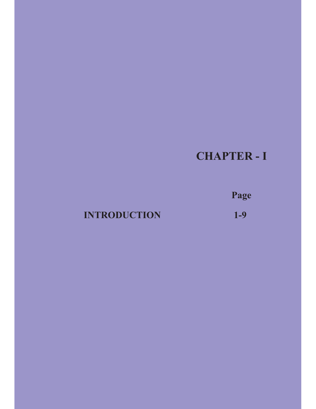# **CHAPTER - I**

**Page**

# **INTRODUCTION** 1-9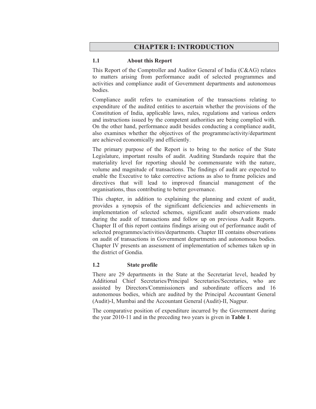# **CHAPTER I: INTRODUCTION**

#### **1.1 About this Report**

This Report of the Comptroller and Auditor General of India (C&AG) relates to matters arising from performance audit of selected programmes and activities and compliance audit of Government departments and autonomous bodies.

Compliance audit refers to examination of the transactions relating to expenditure of the audited entities to ascertain whether the provisions of the Constitution of India, applicable laws, rules, regulations and various orders and instructions issued by the competent authorities are being complied with. On the other hand, performance audit besides conducting a compliance audit, also examines whether the objectives of the programme/activity/department are achieved economically and efficiently.

The primary purpose of the Report is to bring to the notice of the State Legislature, important results of audit. Auditing Standards require that the materiality level for reporting should be commensurate with the nature, volume and magnitude of transactions. The findings of audit are expected to enable the Executive to take corrective actions as also to frame policies and directives that will lead to improved financial management of the organisations, thus contributing to better governance.

This chapter, in addition to explaining the planning and extent of audit, provides a synopsis of the significant deficiencies and achievements in implementation of selected schemes, significant audit observations made during the audit of transactions and follow up on previous Audit Reports. Chapter II of this report contains findings arising out of performance audit of selected programmes/activities/departments. Chapter III contains observations on audit of transactions in Government departments and autonomous bodies. Chapter IV presents an assessment of implementation of schemes taken up in the district of Gondia.

#### **1.2 State profile**

There are 29 departments in the State at the Secretariat level, headed by Additional Chief Secretaries/Principal Secretaries/Secretaries, who are assisted by Directors/Commissioners and subordinate officers and 16 autonomous bodies, which are audited by the Principal Accountant General (Audit)-I, Mumbai and the Accountant General (Audit)-II, Nagpur.

The comparative position of expenditure incurred by the Government during the year 2010-11 and in the preceding two years is given in **Table 1**.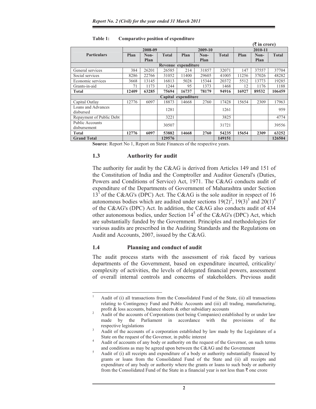|                          |         |       |              |         |       |              |         | $(3\overline{5})$ in crore) |              |  |
|--------------------------|---------|-------|--------------|---------|-------|--------------|---------|-----------------------------|--------------|--|
|                          | 2008-09 |       |              | 2009-10 |       |              | 2010-11 |                             |              |  |
| <b>Particulars</b>       | Plan    | Non-  | <b>Total</b> | Plan    | Non-  | <b>Total</b> | Plan    | Non-                        | <b>Total</b> |  |
|                          |         | Plan  |              |         | Plan  |              |         | Plan                        |              |  |
| Revenue expenditure      |         |       |              |         |       |              |         |                             |              |  |
| General services         | 384     | 26201 | 26585        | 214     | 31857 | 32071        | 147     | 37557                       | 37704        |  |
| Social services          | 8286    | 22766 | 31052        | 11400   | 29605 | 41005        | 11256   | 37026                       | 48282        |  |
| Economic services        | 3668    | 13145 | 16813        | 5028    | 15344 | 20372        | 5512    | 13773                       | 19285        |  |
| Grants-in-aid            | 71      | 1173  | 1244         | 95      | 1373  | 1468         | 12      | 1176                        | 1188         |  |
| Total                    | 12409   | 63285 | 75694        | 16737   | 78179 | 94916        | 16927   | 89532                       | 106459       |  |
| Capital expenditure      |         |       |              |         |       |              |         |                             |              |  |
| Capital Outlay           | 12776   | 6097  | 18873        | 14668   | 2760  | 17428        | 15654   | 2309                        | 17963        |  |
| Loans and Advances       |         |       | 1281         |         |       | 1261         |         |                             | 959          |  |
| disbursed                |         |       |              |         |       |              |         |                             |              |  |
| Repayment of Public Debt |         |       | 3221         |         |       | 3825         |         |                             | 4774         |  |
| <b>Public Accounts</b>   |         |       | 30507        |         |       | 31721        |         |                             | 39556        |  |
| disbursement             |         |       |              |         |       |              |         |                             |              |  |
| Total                    | 12776   | 6097  | 53882        | 14668   | 2760  | 54235        | 15654   | 2309                        | 63252        |  |
| <b>Grand Total</b>       |         |       | 129576       |         |       | 149151       |         |                             | 126504       |  |

#### **Table 1: Comparative position of expenditure**

**Source**: Report No 1, Report on State Finances of the respective years.

#### **1.3 Authority for audit**

The authority for audit by the C&AG is derived from Articles 149 and 151 of the Constitution of India and the Comptroller and Auditor General's (Duties, Powers and Conditions of Service) Act, 1971. The C&AG conducts audit of expenditure of the Departments of Government of Maharashtra under Section  $13<sup>1</sup>$  of the C&AG's (DPC) Act. The C&AG is the sole auditor in respect of 16 autonomous bodies which are audited under sections  $19(2)^2$ ,  $19(3)^3$  and  $20(1)^4$ of the C&AG's (DPC) Act. In addition, the C&AG also conducts audit of 434 other autonomous bodies, under Section  $14<sup>5</sup>$  of the C&AG's (DPC) Act, which are substantially funded by the Government. Principles and methodologies for various audits are prescribed in the Auditing Standards and the Regulations on Audit and Accounts, 2007, issued by the C&AG.

#### **1.4 Planning and conduct of audit**

1

The audit process starts with the assessment of risk faced by various departments of the Government, based on expenditure incurred, criticality/ complexity of activities, the levels of delegated financial powers, assessment of overall internal controls and concerns of stakeholders. Previous audit

Audit of (i) all transactions from the Consolidated Fund of the State, (ii) all transactions relating to Contingency Fund and Public Accounts and (iii) all trading, manufacturing, profit & loss accounts, balance sheets & other subsidiary accounts

Audit of the accounts of Corporations (not being Companies) established by or under law made by the Parliament in accordance with the provisions of the respective legislations

Audit of the accounts of a corporation established by law made by the Legislature of a State on the request of the Governor, in public interest

Audit of accounts of any body or authority on the request of the Governor, on such terms and conditions as may be agreed upon between the  $C&AG$  and the Government

Audit of (i) all receipts and expenditure of a body or authority substantially financed by grants or loans from the Consolidated Fund of the State and (ii) all receipts and expenditure of any body or authority where the grants or loans to such body or authority from the Consolidated Fund of the State in a financial year is not less than  $\bar{\tau}$  one crore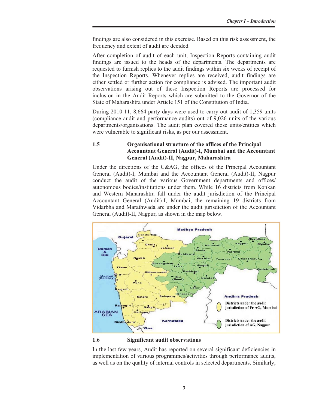findings are also considered in this exercise. Based on this risk assessment, the frequency and extent of audit are decided.

After completion of audit of each unit, Inspection Reports containing audit findings are issued to the heads of the departments. The departments are requested to furnish replies to the audit findings within six weeks of receipt of the Inspection Reports. Whenever replies are received, audit findings are either settled or further action for compliance is advised. The important audit observations arising out of these Inspection Reports are processed for inclusion in the Audit Reports which are submitted to the Governor of the State of Maharashtra under Article 151 of the Constitution of India.

During 2010-11, 8,664 party-days were used to carry out audit of 1,359 units (compliance audit and performance audits) out of 9,026 units of the various departments/organisations. The audit plan covered those units/entities which were vulnerable to significant risks, as per our assessment.

## **1.5 Organisational structure of the offices of the Principal Accountant General (Audit)-I, Mumbai and the Accountant General (Audit)-II, Nagpur, Maharashtra**

Under the directions of the C&AG, the offices of the Principal Accountant General (Audit)-I, Mumbai and the Accountant General (Audit)-II, Nagpur conduct the audit of the various Government departments and offices/ autonomous bodies/institutions under them. While 16 districts from Konkan and Western Maharashtra fall under the audit jurisdiction of the Principal Accountant General (Audit)-I, Mumbai, the remaining 19 districts from Vidarbha and Marathwada are under the audit jurisdiction of the Accountant General (Audit)-II, Nagpur, as shown in the map below.



#### **1.6 Significant audit observations**

In the last few years, Audit has reported on several significant deficiencies in implementation of various programmes/activities through performance audits, as well as on the quality of internal controls in selected departments. Similarly,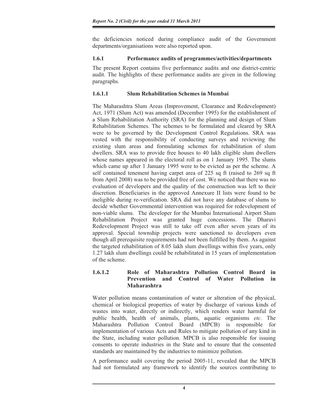the deficiencies noticed during compliance audit of the Government departments/organisations were also reported upon.

### **1.6.1 Performance audits of programmes/activities/departments**

The present Report contains five performance audits and one district-centric audit. The highlights of these performance audits are given in the following paragraphs.

## **1.6.1.1 Slum Rehabilitation Schemes in Mumbai**

The Maharashtra Slum Areas (Improvement, Clearance and Redevelopment) Act, 1971 (Slum Act) was amended (December 1995) for the establishment of a Slum Rehabilitation Authority (SRA) for the planning and design of Slum Rehabilitation Schemes. The schemes to be formulated and cleared by SRA were to be governed by the Development Control Regulations. SRA was vested with the responsibility of conducting surveys and reviewing the existing slum areas and formulating schemes for rehabilitation of slum dwellers. SRA was to provide free houses to 40 lakh eligible slum dwellers whose names appeared in the electoral roll as on 1 January 1995. The slums which came up after 1 January 1995 were to be evicted as per the scheme. A self contained tenement having carpet area of 225 sq ft (raised to 269 sq ft from April 2008) was to be provided free of cost. We noticed that there was no evaluation of developers and the quality of the construction was left to their discretion. Beneficiaries in the approved Annexure II lists were found to be ineligible during re-verification. SRA did not have any database of slums to decide whether Governmental intervention was required for redevelopment of non-viable slums. The developer for the Mumbai International Airport Slum Rehabilitation Project was granted huge concessions. The Dharavi Redevelopment Project was still to take off even after seven years of its approval. Special township projects were sanctioned to developers even though all prerequisite requirements had not been fulfilled by them. As against the targeted rehabilitation of 8.05 lakh slum dwellings within five years, only 1.27 lakh slum dwellings could be rehabilitated in 15 years of implementation of the scheme.

#### **1.6.1.2 Role of Maharashtra Pollution Control Board in Prevention and Control of Water Pollution in Maharashtra**

Water pollution means contamination of water or alteration of the physical, chemical or biological properties of water by discharge of various kinds of wastes into water, directly or indirectly, which renders water harmful for public health, health of animals, plants, aquatic organisms *etc.* The Maharashtra Pollution Control Board (MPCB) is responsible for implementation of various Acts and Rules to mitigate pollution of any kind in the State, including water pollution. MPCB is also responsible for issuing consents to operate industries in the State and to ensure that the consented standards are maintained by the industries to minimize pollution.

A performance audit covering the period 2005-11, revealed that the MPCB had not formulated any framework to identify the sources contributing to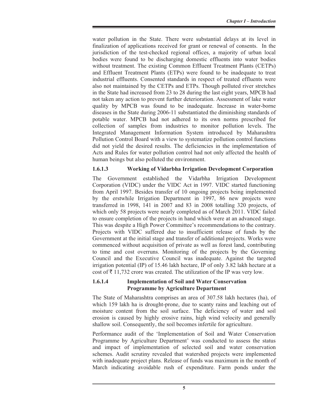water pollution in the State. There were substantial delays at its level in finalization of applications received for grant or renewal of consents. In the jurisdiction of the test-checked regional offices, a majority of urban local bodies were found to be discharging domestic effluents into water bodies without treatment. The existing Common Effluent Treatment Plants (CETPs) and Effluent Treatment Plants (ETPs) were found to be inadequate to treat industrial effluents. Consented standards in respect of treated effluents were also not maintained by the CETPs and ETPs. Though polluted river stretches in the State had increased from 23 to 28 during the last eight years, MPCB had not taken any action to prevent further deterioration. Assessment of lake water quality by MPCB was found to be inadequate. Increase in water-borne diseases in the State during 2006-11 substantiated the diminishing standards of potable water. MPCB had not adhered to its own norms prescribed for collection of samples from industries to monitor pollution levels. The Integrated Management Information System introduced by Maharashtra Pollution Control Board with a view to systematize pollution control functions did not yield the desired results. The deficiencies in the implementation of Acts and Rules for water pollution control had not only affected the health of human beings but also polluted the environment.

### **1.6.1.3 Working of Vidarbha Irrigation Development Corporation**

The Government established the Vidarbha Irrigation Development Corporation (VIDC) under the VIDC Act in 1997. VIDC started functioning from April 1997. Besides transfer of 10 ongoing projects being implemented by the erstwhile Irrigation Department in 1997, 86 new projects were transferred in 1998, 141 in 2007 and 83 in 2008 totalling 320 projects, of which only 58 projects were nearly completed as of March 2011. VIDC failed to ensure completion of the projects in hand which were at an advanced stage. This was despite a High Power Committee's recommendations to the contrary. Projects with VIDC suffered due to insufficient release of funds by the Government at the initial stage and transfer of additional projects. Works were commenced without acquisition of private as well as forest land, contributing to time and cost overruns. Monitoring of the projects by the Governing Council and the Executive Council was inadequate. Against the targeted irrigation potential (IP) of 15.46 lakh hectare, IP of only 3.82 lakh hectare at a cost of  $\bar{\tau}$  11,732 crore was created. The utilization of the IP was very low.

#### **1.6.1.4 Implementation of Soil and Water Conservation Programme by Agriculture Department**

The State of Maharashtra comprises an area of 307.58 lakh hectares (ha), of which 159 lakh ha is drought-prone, due to scanty rains and leaching out of moisture content from the soil surface. The deficiency of water and soil erosion is caused by highly erosive rains, high wind velocity and generally shallow soil. Consequently, the soil becomes infertile for agriculture.

Performance audit of the 'Implementation of Soil and Water Conservation Programme by Agriculture Department' was conducted to assess the status and impact of implementation of selected soil and water conservation schemes. Audit scrutiny revealed that watershed projects were implemented with inadequate project plans. Release of funds was maximum in the month of March indicating avoidable rush of expenditure. Farm ponds under the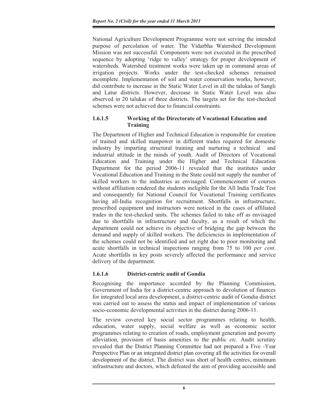National Agriculture Development Programme were not serving the intended purpose of percolation of water. The Vidarbha Watershed Development Mission was not successful. Components were not executed in the prescribed sequence by adopting 'ridge to valley' strategy for proper development of watersheds. Watershed treatment works were taken up in command areas of irrigation projects. Works under the test-checked schemes remained incomplete. Implementation of soil and water conservation works, however, did contribute to increase in the Static Water Level in all the talukas of Sangli and Latur districts. However, decrease in Static Water Level was also observed in 20 talukas of three districts. The targets set for the test-checked schemes were not achieved due to financial constraints.

## **1.6.1.5 Working of the Directorate of Vocational Education and Training**

The Department of Higher and Technical Education is responsible for creation of trained and skilled manpower in different trades required for domestic industry by imparting structural training and nurturing a technical and industrial attitude in the minds of youth. Audit of Directors of Vocational Education and Training under the Higher and Technical Education Department for the period 2006-11 revealed that the institutes under Vocational Education and Training in the State could not supply the number of skilled workers to the industries as envisaged. Commencement of courses without affiliation rendered the students ineligible for the All India Trade Test and consequently for National Council for Vocational Training certificates having all-India recognition for recruitment. Shortfalls in infrastructure, prescribed equipment and instructors were noticed in the cases of affiliated trades in the test-checked units. The schemes failed to take off as envisaged due to shortfalls in infrastructure and faculty, as a result of which the department could not achieve its objective of bridging the gap between the demand and supply of skilled workers. The deficiencies in implementation of the schemes could not be identified and set right due to poor monitoring and acute shortfalls in technical inspections ranging from 75 to 100 *per cent*. Acute shortfalls in key posts severely affected the performance and service delivery of the department.

## **1.6.1.6 District-centric audit of Gondia**

Recognising the importance accorded by the Planning Commission, Government of India for a district-centric approach to devolution of finances for integrated local area development, a district-centric audit of Gondia district was carried out to assess the status and impact of implementation of various socio-economic developmental activities in the district during 2006-11.

The review covered key social sector programmes relating to health, education, water supply, social welfare as well as economic sector programmes relating to creation of roads, employment generation and poverty alleviation, provision of basis amenities to the public *etc.* Audit scrutiny revealed that the District Planning Committee had not prepared a Five -Year Perspective Plan or an integrated district plan covering all the activities for overall development of the district. The district was short of health centres, minimum infrastructure and doctors, which defeated the aim of providing accessible and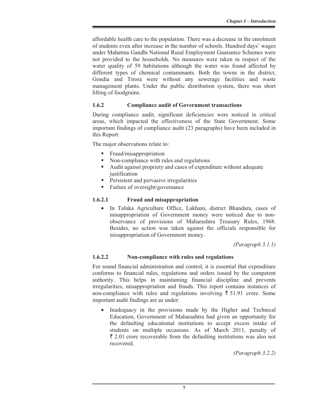affordable health care to the population. There was a decrease in the enrolment of students even after increase in the number of schools. Hundred days' wages under Mahatma Gandhi National Rural Employment Guarantee Schemes were not provided to the households. No measures were taken in respect of the water quality of 59 habitations although the water was found affected by different types of chemical contaminants. Both the towns in the district, Gondia and Tirora were without any sewerage facilities and waste management plants. Under the public distribution system, there was short lifting of foodgrains.

# **1.6.2 Compliance audit of Government transactions**

During compliance audit, significant deficiencies were noticed in critical areas, which impacted the effectiveness of the State Government. Some important findings of compliance audit (23 paragraphs) have been included in this Report.

The major observations relate to:

- **Fraud/misappropriation**
- Non-compliance with rules and regulations
- Audit against propriety and cases of expenditure without adequate justification
- **Persistent and pervasive irregularities**
- Failure of oversight/governance

# **1.6.2.1 Fraud and misappropriation**

• In Taluka Agriculture Office, Lakhani, district Bhandara, cases of misappropriation of Government money were noticed due to nonobservance of provisions of Maharashtra Treasury Rules, 1968. Besides, no action was taken against the officials responsible for misappropriation of Government money.

*(Paragraph 3.1.1)* 

## **1.6.2.2 Non-compliance with rules and regulations**

For sound financial administration and control, it is essential that expenditure conforms to financial rules, regulations and orders issued by the competent authority. This helps in maintaining financial discipline and prevents irregularities, misappropriation and frauds. This report contains instances of non-compliance with rules and regulations involving  $\bar{\tau}$  51.91 crore. Some important audit findings are as under:

• Inadequacy in the provisions made by the Higher and Technical Education, Government of Maharashtra had given an opportunity for the defaulting educational institutions to accept excess intake of students on multiple occasions. As of March 2011, penalty of  $\bar{\xi}$  2.01 crore recoverable from the defaulting institutions was also not recovered.

*(Paragraph 3.2.2)*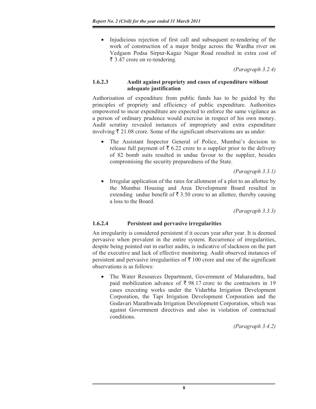• Injudicious rejection of first call and subsequent re-tendering of the work of construction of a major bridge across the Wardha river on Vedgaon Podsa Sirpur-Kagaz Nagar Road resulted in extra cost of  $\bar{\tau}$  3.47 crore on re-tendering.

 $\alpha$  *Paragraph 3.2.4* 

# **1.6.2.3 Audit against propriety and cases of expenditure without adequate justification**

Authorisation of expenditure from public funds has to be guided by the principles of propriety and efficiency of public expenditure. Authorities empowered to incur expenditure are expected to enforce the same vigilance as a person of ordinary prudence would exercise in respect of his own money. Audit scrutiny revealed instances of impropriety and extra expenditure involving  $\bar{\tau}$  21.08 crore. Some of the significant observations are as under:

• The Assistant Inspector General of Police, Mumbai's decision to release full payment of  $\bar{\tau}$  6.22 crore to a supplier prior to the delivery of 82 bomb suits resulted in undue favour to the supplier, besides compromising the security preparedness of the State.

*(Paragraph 3.3.1)*  Irregular application of the rates for allotment of a plot to an allottee by the Mumbai Housing and Area Development Board resulted in extending undue benefit of  $\bar{\tau}$  3.50 crore to an allottee, thereby causing a loss to the Board.

*(Paragraph 3.3.3)* 

# **1.6.2.4 Persistent and pervasive irregularities**

An irregularity is considered persistent if it occurs year after year. It is deemed pervasive when prevalent in the entire system. Recurrence of irregularities, despite being pointed out in earlier audits, is indicative of slackness on the part of the executive and lack of effective monitoring. Audit observed instances of persistent and pervasive irregularities of  $\bar{\tau}$  100 crore and one of the significant observations is as follows:

The Water Resources Department, Government of Maharashtra, had paid mobilization advance of  $\bar{\xi}$  98.17 crore to the contractors in 19 cases executing works under the Vidarbha Irrigation Development Corporation, the Tapi Irrigation Development Corporation and the Godavari Marathwada Irrigation Development Corporation, which was against Government directives and also in violation of contractual conditions.

*(Paragraph 3.4.2)*